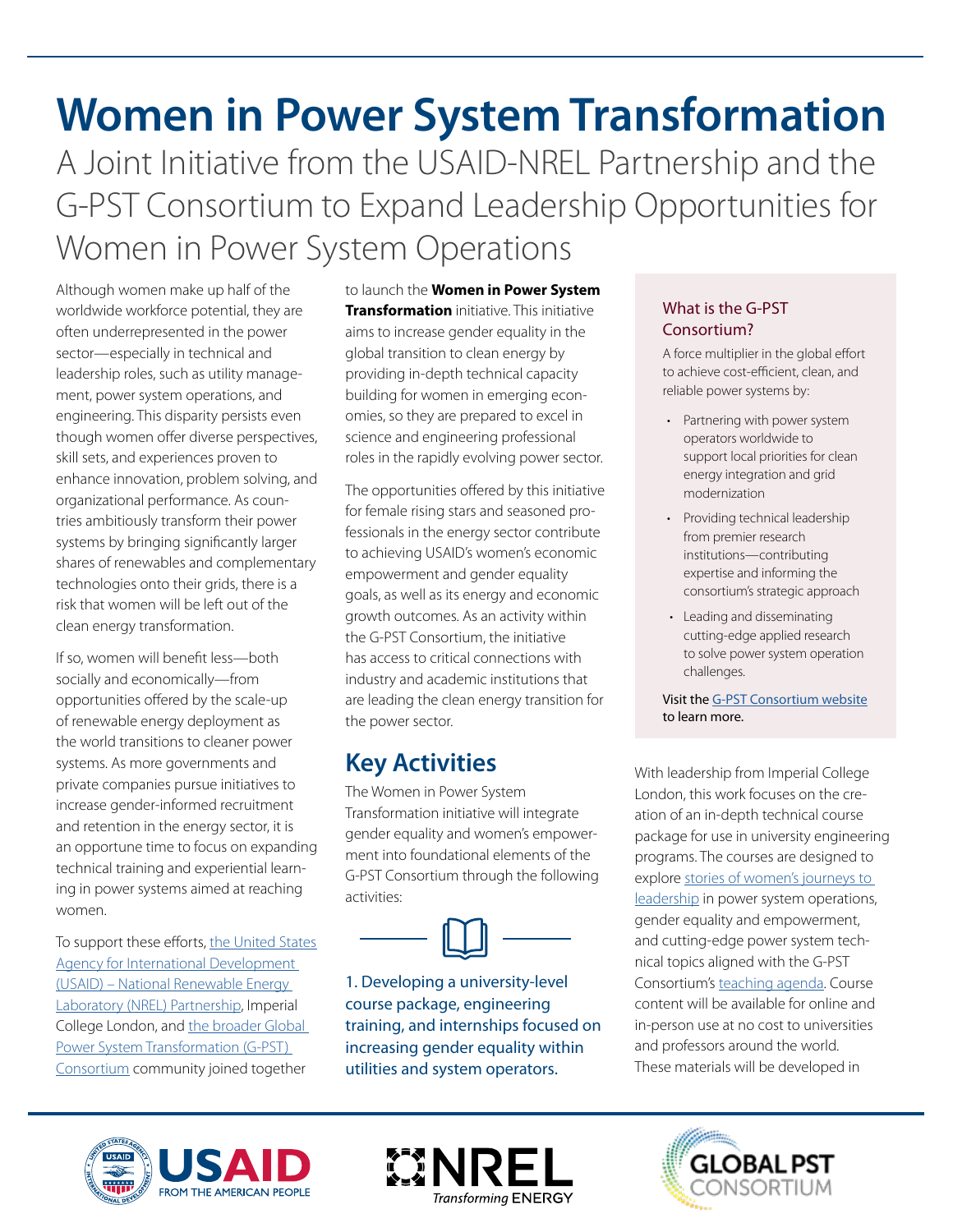# **Women in Power System Transformation**  A Joint Initiative from the USAID-NREL Partnership and the G-PST Consortium to Expand Leadership Opportunities for Women in Power System Operations

Although women make up half of the worldwide workforce potential, they are often underrepresented in the power sector—especially in technical and leadership roles, such as utility management, power system operations, and engineering. This disparity persists even though women offer diverse perspectives, skill sets, and experiences proven to enhance innovation, problem solving, and organizational performance. As countries ambitiously transform their power systems by bringing signifcantly larger shares of renewables and complementary technologies onto their grids, there is a risk that women will be left out of the clean energy transformation.

If so, women will beneft less—both socially and economically—from opportunities offered by the scale-up of renewable energy deployment as the world transitions to cleaner power systems. As more governments and private companies pursue initiatives to increase gender-informed recruitment and retention in the energy sector, it is an opportune time to focus on expanding technical training and experiential learning in power systems aimed at reaching women.

To support these efforts, the United States [Agency for International Development](https://www.nrel.gov/usaid-partnership/)  [\(USAID\) – National Renewable Energy](https://www.nrel.gov/usaid-partnership/)  [Laboratory \(NREL\) Partnership,](https://www.nrel.gov/usaid-partnership/) Imperial College London, and [the broader Global](https://globalpst.org/)  [Power System Transformation \(G-PST\)](https://globalpst.org/)  [Consortium](https://globalpst.org/) community joined together

to launch the **Women in Power System Transformation** initiative. This initiative aims to increase gender equality in the global transition to clean energy by providing in-depth technical capacity building for women in emerging economies, so they are prepared to excel in science and engineering professional roles in the rapidly evolving power sector.

The opportunities offered by this initiative for female rising stars and seasoned professionals in the energy sector contribute to achieving USAID's women's economic empowerment and gender equality goals, as well as its energy and economic growth outcomes. As an activity within the G-PST Consortium, the initiative has access to critical connections with industry and academic institutions that are leading the clean energy transition for the power sector.

## **Key Activities**

The Women in Power System Transformation initiative will integrate gender equality and women's empowerment into foundational elements of the G-PST Consortium through the following activities:



1. Developing a university-level course package, engineering training, and internships focused on increasing gender equality within utilities and system operators.

## What is the G-PST Consortium?

A force multiplier in the global effort to achieve cost-efficient, clean, and reliable power systems by:

- Partnering with power system operators worldwide to support local priorities for clean energy integration and grid modernization
- Providing technical leadership from premier research institutions—contributing expertise and informing the consortium's strategic approach
- Leading and disseminating cutting-edge applied research to solve power system operation challenges.

Visit the <u>[G-PST Consortium website](http://www.globalpst.org)</u><br>to learn more.

With leadership from Imperial College London, this work focuses on the creation of an in-depth technical course package for use in university engineering programs. The courses are designed to explore [stories of women's journeys to](https://www.youtube.com/watch?v=9Zqtyw3DIUw)  [leadership](https://www.youtube.com/watch?v=9Zqtyw3DIUw) in power system operations, gender equality and empowerment, and cutting-edge power system technical topics aligned with the G-PST Consortium's [teaching agenda](https://globalpst.org/wp-content/uploads/G-PST_Inaugural_Teaching_Agenda_updated.pdf). Course content will be available for online and in-person use at no cost to universities and professors around the world. These materials will be developed in